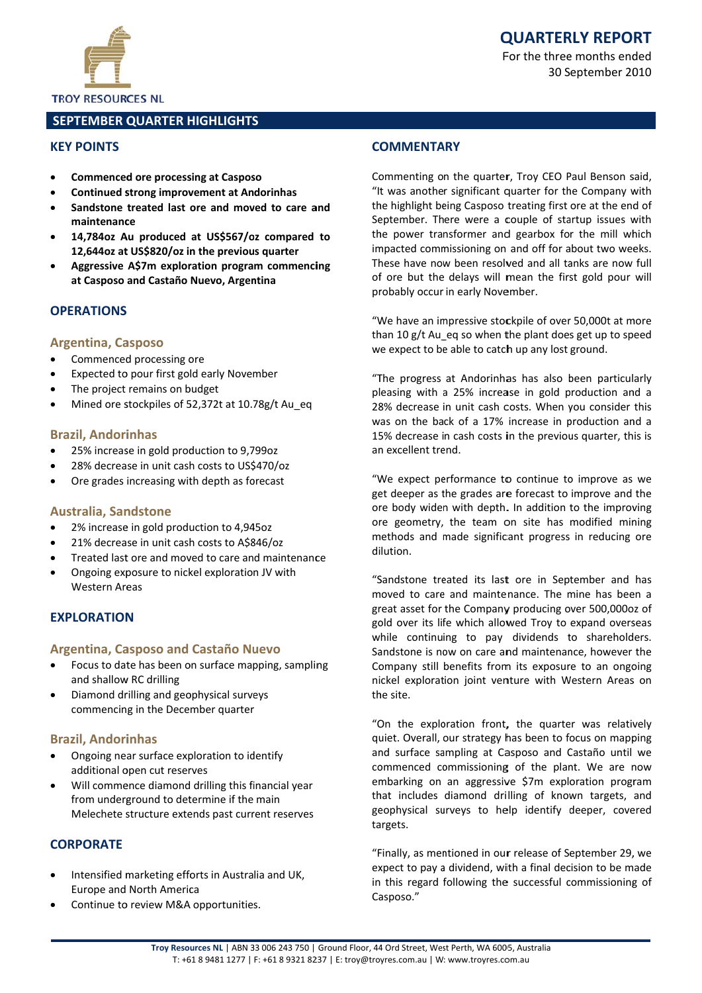

For the three months ended 30 September 2010

**TROY RESOURCES NL** 

# **SEPTEMBER QUARTER HIGHLIGHTS**

# **KFY POINTS**

- **Commenced ore processing at Casposo**
- **Continued strong improvement at Andorinhas**  $\bullet$
- Sandstone treated last ore and moved to care and maintenance
- 14,784oz Au produced at US\$567/oz compared to  $\bullet$ 12,644oz at US\$820/oz in the previous quarter
- Aggressive A\$7m exploration program commencing at Casposo and Castaño Nuevo, Argentina

# **OPERATIONS**

#### **Argentina, Casposo**

- Commenced processing ore  $\bullet$
- Expected to pour first gold early November
- The project remains on budget
- Mined ore stockpiles of 52,372t at 10.78g/t Au eq

#### **Brazil, Andorinhas**

- 25% increase in gold production to 9,799oz  $\bullet$
- 28% decrease in unit cash costs to US\$470/oz
- Ore grades increasing with depth as forecast

# **Australia, Sandstone**

- 2% increase in gold production to 4,945oz
- 21% decrease in unit cash costs to A\$846/oz
- Treated last ore and moved to care and maintenance
- Ongoing exposure to nickel exploration JV with **Western Areas**

# **FXPLORATION**

# Argentina, Casposo and Castaño Nuevo

- Focus to date has been on surface mapping, sampling and shallow RC drilling
- Diamond drilling and geophysical surveys commencing in the December quarter

# **Brazil, Andorinhas**

- Ongoing near surface exploration to identify additional open cut reserves
- Will commence diamond drilling this financial year from underground to determine if the main Melechete structure extends past current reserves

# **CORPORATE**

- Intensified marketing efforts in Australia and UK, **Europe and North America**
- Continue to review M&A opportunities.

# **COMMENTARY**

Commenting on the quarter, Troy CEO Paul Benson said, "It was another significant quarter for the Company with the highlight being Casposo treating first ore at the end of September. There were a couple of startup issues with the power transformer and gearbox for the mill which impacted commissioning on and off for about two weeks. These have now been resolved and all tanks are now full of ore but the delays will mean the first gold pour will probably occur in early November.

"We have an impressive stockpile of over 50,000t at more than 10 g/t Au eq so when the plant does get up to speed we expect to be able to catch up any lost ground.

"The progress at Andorinhas has also been particularly pleasing with a 25% increase in gold production and a 28% decrease in unit cash costs. When you consider this was on the back of a 17% increase in production and a 15% decrease in cash costs in the previous quarter, this is an excellent trend.

"We expect performance to continue to improve as we get deeper as the grades are forecast to improve and the ore body widen with depth. In addition to the improving ore geometry, the team on site has modified mining methods and made significant progress in reducing ore dilution.

"Sandstone treated its last ore in September and has moved to care and maintenance. The mine has been a great asset for the Company producing over 500,000oz of gold over its life which allowed Troy to expand overseas while continuing to pay dividends to shareholders. Sandstone is now on care and maintenance, however the Company still benefits from its exposure to an ongoing nickel exploration joint venture with Western Areas on the site.

"On the exploration front, the quarter was relatively quiet. Overall, our strategy has been to focus on mapping and surface sampling at Casposo and Castaño until we commenced commissioning of the plant. We are now embarking on an aggressive \$7m exploration program that includes diamond drilling of known targets, and geophysical surveys to help identify deeper, covered targets.

"Finally, as mentioned in our release of September 29, we expect to pay a dividend, with a final decision to be made in this regard following the successful commissioning of Casposo."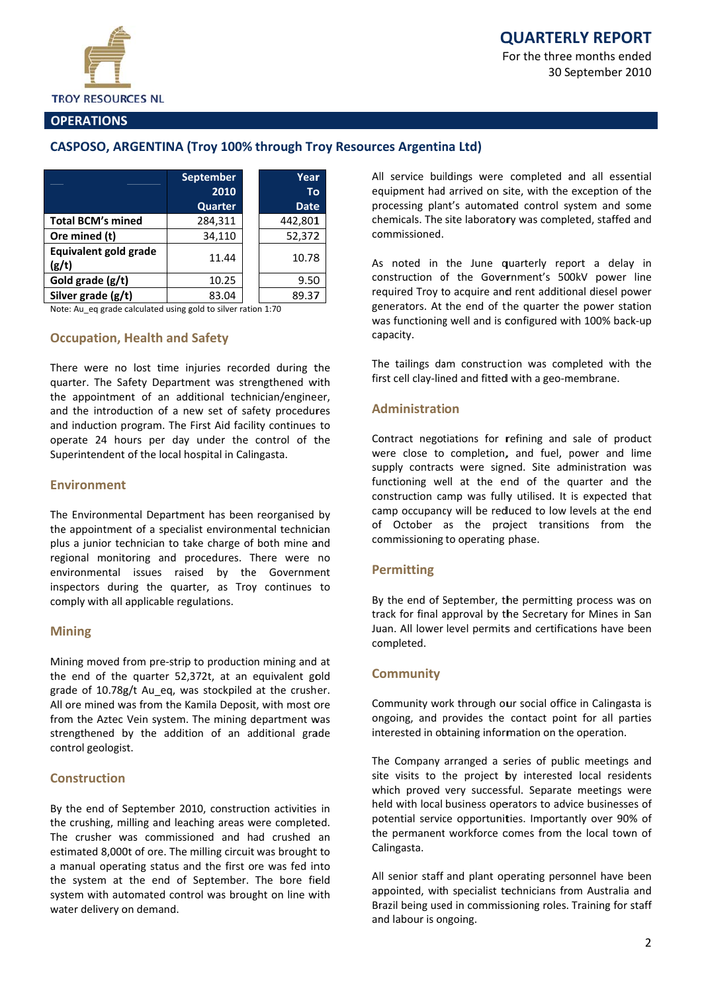

For the three months ended 30 September 2010

# **OPERATIONS**

# CASPOSO, ARGENTINA (Troy 100% through Troy Resources Argentina Ltd)

|                                | <b>September</b><br>2010<br>Quarter | Year<br>Τo<br><b>Date</b> |
|--------------------------------|-------------------------------------|---------------------------|
| <b>Total BCM's mined</b>       | 284,311                             | 442,801                   |
| Ore mined (t)                  | 34,110                              | 52,372                    |
| Equivalent gold grade<br>(g/t) | 11.44                               | 10.78                     |
| Gold grade (g/t)               | 10.25                               | 9.50                      |
| Silver grade (g/t)             | 83.04                               | 89.37                     |

Note: Au\_eq grade calculated using gold to silver ration 1:70

# **Occupation, Health and Safety**

There were no lost time injuries recorded during the quarter. The Safety Department was strengthened with the appointment of an additional technician/engineer, and the introduction of a new set of safety procedures and induction program. The First Aid facility continues to operate 24 hours per day under the control of the Superintendent of the local hospital in Calingasta.

#### **Fnvironment**

The Environmental Department has been reorganised by the appointment of a specialist environmental technician plus a junior technician to take charge of both mine and regional monitoring and procedures. There were no environmental issues raised by the Government inspectors during the quarter, as Troy continues to comply with all applicable regulations.

# **Mining**

Mining moved from pre-strip to production mining and at the end of the quarter 52,372t, at an equivalent gold grade of 10.78g/t Au eq, was stockpiled at the crusher. All ore mined was from the Kamila Deposit, with most ore from the Aztec Vein system. The mining department was strengthened by the addition of an additional grade control geologist.

# **Construction**

By the end of September 2010, construction activities in the crushing, milling and leaching areas were completed. The crusher was commissioned and had crushed an estimated 8,000t of ore. The milling circuit was brought to a manual operating status and the first ore was fed into the system at the end of September. The bore field system with automated control was brought on line with water delivery on demand.

All service buildings were completed and all essential equipment had arrived on site, with the exception of the processing plant's automated control system and some chemicals. The site laboratory was completed, staffed and commissioned.

As noted in the June quarterly report a delay in construction of the Government's 500kV power line required Troy to acquire and rent additional diesel power generators. At the end of the quarter the power station was functioning well and is configured with 100% back-up capacity.

The tailings dam construction was completed with the first cell clay-lined and fitted with a geo-membrane.

# **Administration**

Contract negotiations for refining and sale of product were close to completion, and fuel, power and lime supply contracts were signed. Site administration was functioning well at the end of the quarter and the construction camp was fully utilised. It is expected that camp occupancy will be reduced to low levels at the end of October as the project transitions from the commissioning to operating phase.

# **Permitting**

By the end of September, the permitting process was on track for final approval by the Secretary for Mines in San Juan. All lower level permits and certifications have been completed.

#### **Community**

Community work through our social office in Calingasta is ongoing, and provides the contact point for all parties interested in obtaining information on the operation.

The Company arranged a series of public meetings and site visits to the project by interested local residents which proved very successful. Separate meetings were held with local business operators to advice businesses of potential service opportunities. Importantly over 90% of the permanent workforce comes from the local town of Calingasta.

All senior staff and plant operating personnel have been appointed, with specialist technicians from Australia and Brazil being used in commissioning roles. Training for staff and labour is ongoing.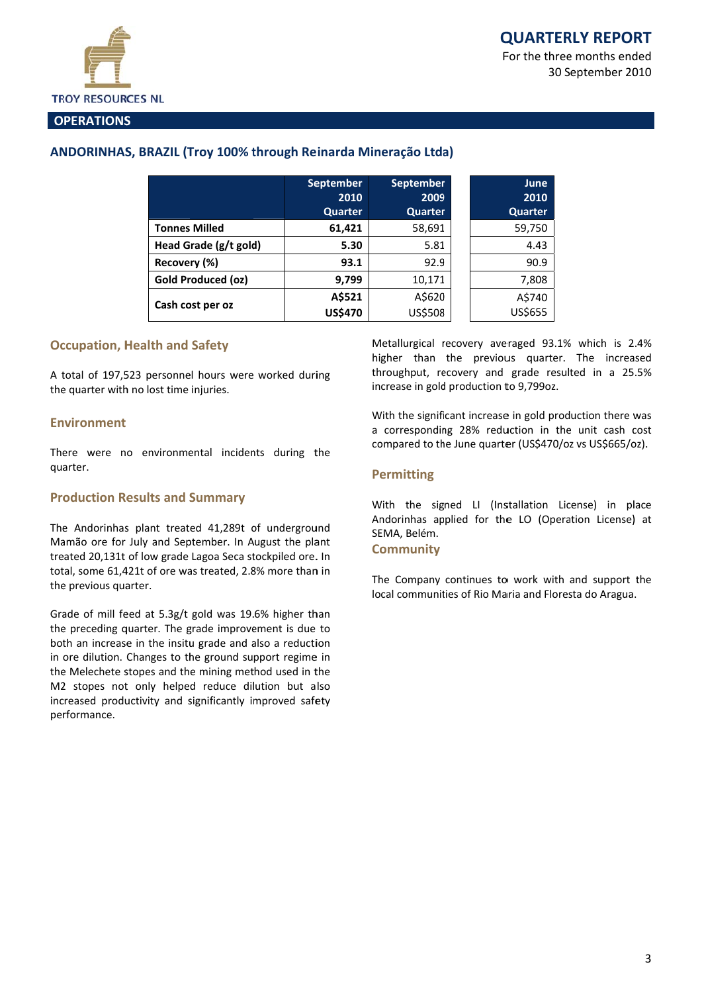30 September 2010



#### **OPERATIONS**

# ANDORINHAS, BRAZIL (Troy 100% through Reinarda Mineração Ltda)

|                       | <b>September</b><br>2010<br>Quarter | <b>September</b><br>2009<br>Quarter | June<br>2010<br><b>Quarter</b> |
|-----------------------|-------------------------------------|-------------------------------------|--------------------------------|
| <b>Tonnes Milled</b>  | 61,421                              | 58,691                              | 59,750                         |
| Head Grade (g/t gold) | 5.30                                | 5.81                                | 4.43                           |
| Recovery (%)          | 93.1                                | 92.9                                | 90.9                           |
| Gold Produced (oz)    | 9,799                               | 10,171                              | 7,808                          |
|                       | A\$521                              | A\$620                              | A\$740                         |
| Cash cost per oz      | <b>US\$470</b>                      | US\$508                             | US\$655                        |

# **Occupation. Health and Safety**

A total of 197,523 personnel hours were worked during the quarter with no lost time injuries.

#### **Fnvironment**

There were no environmental incidents during the quarter.

#### **Production Results and Summary**

The Andorinhas plant treated 41,289t of underground Mamão ore for July and September. In August the plant treated 20,131t of low grade Lagoa Seca stockpiled ore. In total, some 61,421t of ore was treated, 2.8% more than in the previous quarter.

Grade of mill feed at 5.3g/t gold was 19.6% higher than the preceding quarter. The grade improvement is due to both an increase in the insitu grade and also a reduction in ore dilution. Changes to the ground support regime in the Melechete stopes and the mining method used in the M2 stopes not only helped reduce dilution but also increased productivity and significantly improved safety performance.

Metallurgical recovery averaged 93.1% which is 2.4% higher than the previous quarter. The increased throughput, recovery and grade resulted in a 25.5% increase in gold production to 9,799oz.

With the significant increase in gold production there was a corresponding 28% reduction in the unit cash cost compared to the June quarter (US\$470/oz vs US\$665/oz).

# **Permitting**

With the signed LI (Installation License) in place Andorinhas applied for the LO (Operation License) at SEMA, Belém.

#### **Community**

The Company continues to work with and support the local communities of Rio Maria and Floresta do Aragua.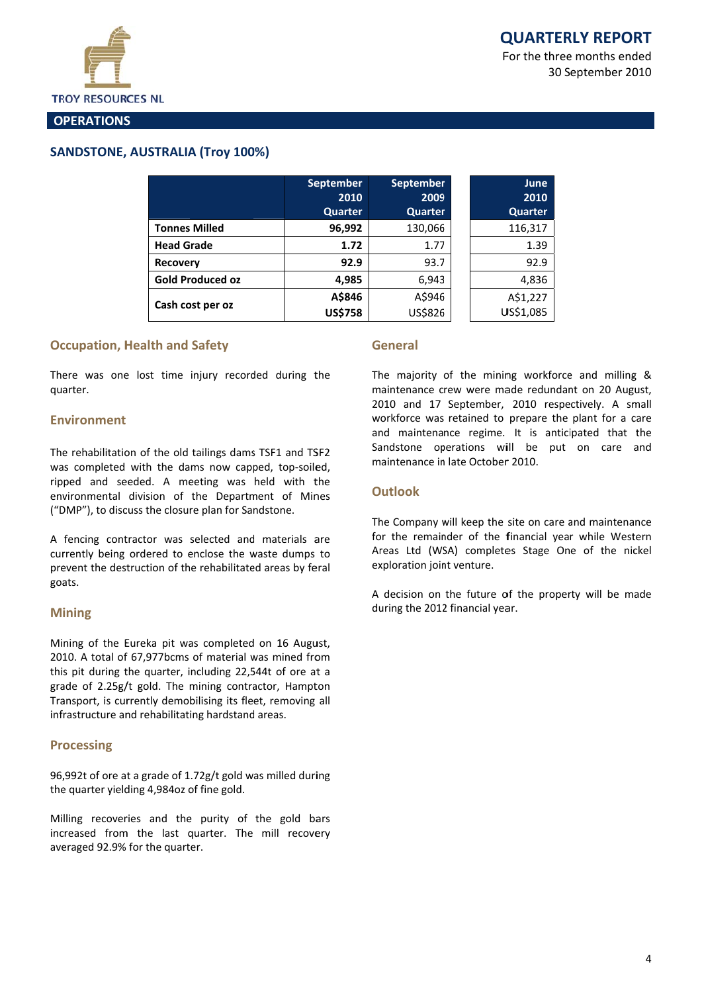

#### **OPERATIONS**

# **SANDSTONE, AUSTRALIA (Trov 100%)**

|                         | <b>September</b><br>2010 | <b>September</b><br>2009 | June<br>2010 |
|-------------------------|--------------------------|--------------------------|--------------|
|                         | Quarter                  | Quarter                  | Quarter      |
| <b>Tonnes Milled</b>    | 96,992                   | 130,066                  | 116,317      |
| <b>Head Grade</b>       | 1.72                     | 1.77                     | 1.39         |
| <b>Recovery</b>         | 92.9                     | 93.7                     | 92.9         |
| <b>Gold Produced oz</b> | 4,985                    | 6,943                    | 4,836        |
|                         | A\$846                   | A\$946                   | A\$1,227     |
| Cash cost per oz        | <b>US\$758</b>           | US\$826                  | US\$1,085    |

# **Occupation. Health and Safety**

There was one lost time injury recorded during the quarter.

#### **Environment**

The rehabilitation of the old tailings dams TSF1 and TSF2 was completed with the dams now capped, top-soiled, ripped and seeded. A meeting was held with the environmental division of the Department of Mines ("DMP"), to discuss the closure plan for Sandstone.

A fencing contractor was selected and materials are currently being ordered to enclose the waste dumps to prevent the destruction of the rehabilitated areas by feral goats.

# **Mining**

Mining of the Eureka pit was completed on 16 August, 2010. A total of 67,977bcms of material was mined from this pit during the quarter, including 22,544t of ore at a grade of 2.25g/t gold. The mining contractor, Hampton Transport, is currently demobilising its fleet, removing all infrastructure and rehabilitating hardstand areas.

#### **Processing**

96,992t of ore at a grade of 1.72g/t gold was milled during the quarter yielding 4,984oz of fine gold.

Milling recoveries and the purity of the gold bars increased from the last quarter. The mill recovery averaged 92.9% for the quarter.

#### General

The majority of the mining workforce and milling & maintenance crew were made redundant on 20 August, 2010 and 17 September, 2010 respectively. A small workforce was retained to prepare the plant for a care and maintenance regime. It is anticipated that the Sandstone operations will be put on care and maintenance in late October 2010.

# **Outlook**

The Company will keep the site on care and maintenance for the remainder of the financial year while Western Areas Ltd (WSA) completes Stage One of the nickel exploration joint venture.

A decision on the future of the property will be made during the 2012 financial year.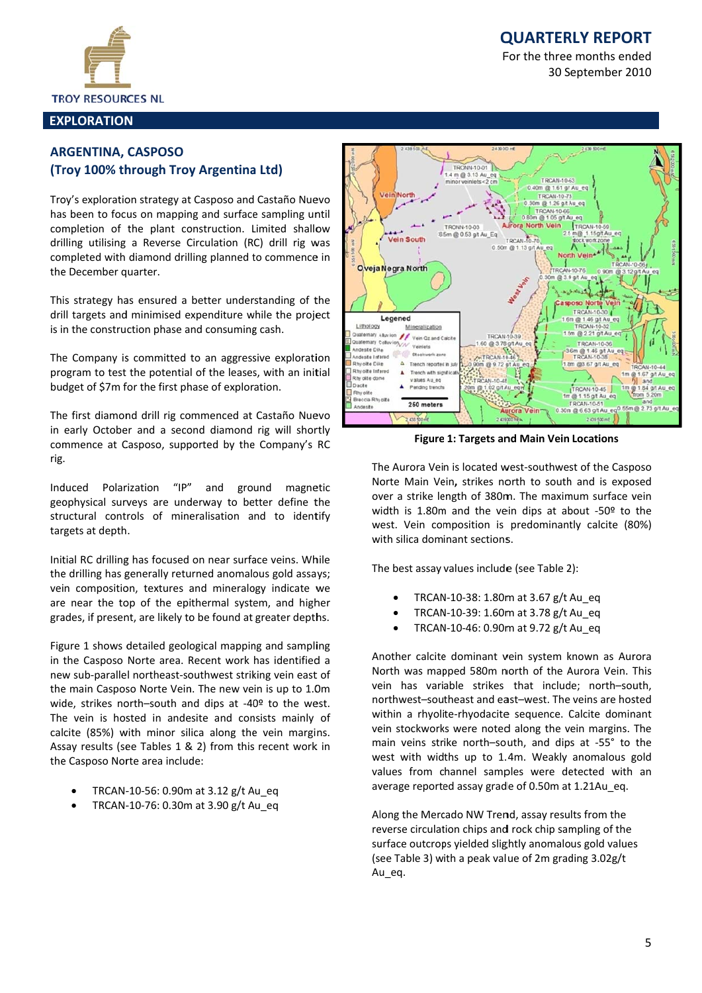# **QUARTERLY REPORT**

For the three months ended 30 September 2010



#### **EXPLORATION**

# **ARGENTINA, CASPOSO** (Troy 100% through Troy Argentina Ltd)

Troy's exploration strategy at Casposo and Castaño Nuevo has been to focus on mapping and surface sampling until completion of the plant construction. Limited shallow drilling utilising a Reverse Circulation (RC) drill rig was completed with diamond drilling planned to commence in the December quarter.

This strategy has ensured a better understanding of the drill targets and minimised expenditure while the project is in the construction phase and consuming cash.

The Company is committed to an aggressive exploration program to test the potential of the leases, with an initial budget of \$7m for the first phase of exploration.

The first diamond drill rig commenced at Castaño Nuevo in early October and a second diamond rig will shortly commence at Casposo, supported by the Company's RC rig.

Induced Polarization  $^{\prime\prime}$ ID" ground and magnetic geophysical surveys are underway to better define the structural controls of mineralisation and to identify targets at depth.

Initial RC drilling has focused on near surface veins. While the drilling has generally returned anomalous gold assays; vein composition, textures and mineralogy indicate we are near the top of the epithermal system, and higher grades, if present, are likely to be found at greater depths.

Figure 1 shows detailed geological mapping and sampling in the Casposo Norte area. Recent work has identified a new sub-parallel northeast-southwest striking vein east of the main Casposo Norte Vein. The new vein is up to 1.0m wide, strikes north-south and dips at -40º to the west. The vein is hosted in andesite and consists mainly of calcite (85%) with minor silica along the vein margins. Assay results (see Tables 1 & 2) from this recent work in the Casposo Norte area include:

- TRCAN-10-56: 0.90m at 3.12 g/t Au eq
- TRCAN-10-76: 0.30m at 3.90 g/t Au eq



**Figure 1: Targets and Main Vein Locations** 

The Aurora Vein is located west-southwest of the Casposo Norte Main Vein, strikes north to south and is exposed over a strike length of 380m. The maximum surface vein width is 1.80m and the vein dips at about -50º to the west. Vein composition is predominantly calcite (80%) with silica dominant sections.

The best assay values include (see Table 2):

- TRCAN-10-38: 1.80m at 3.67 g/t Au eq  $\bullet$
- TRCAN-10-39: 1.60m at 3.78 g/t Au eq
- TRCAN-10-46: 0.90m at 9.72 g/t Au eq

Another calcite dominant vein system known as Aurora North was mapped 580m north of the Aurora Vein. This vein has variable strikes that include; north-south, northwest-southeast and east-west. The veins are hosted within a rhyolite-rhyodacite sequence. Calcite dominant vein stockworks were noted along the vein margins. The main veins strike north-south, and dips at -55° to the west with widths up to 1.4m. Weakly anomalous gold values from channel samples were detected with an average reported assay grade of 0.50m at 1.21Au eq.

Along the Mercado NW Trend, assay results from the reverse circulation chips and rock chip sampling of the surface outcrops yielded slightly anomalous gold values (see Table 3) with a peak value of 2m grading 3.02g/t Au eq.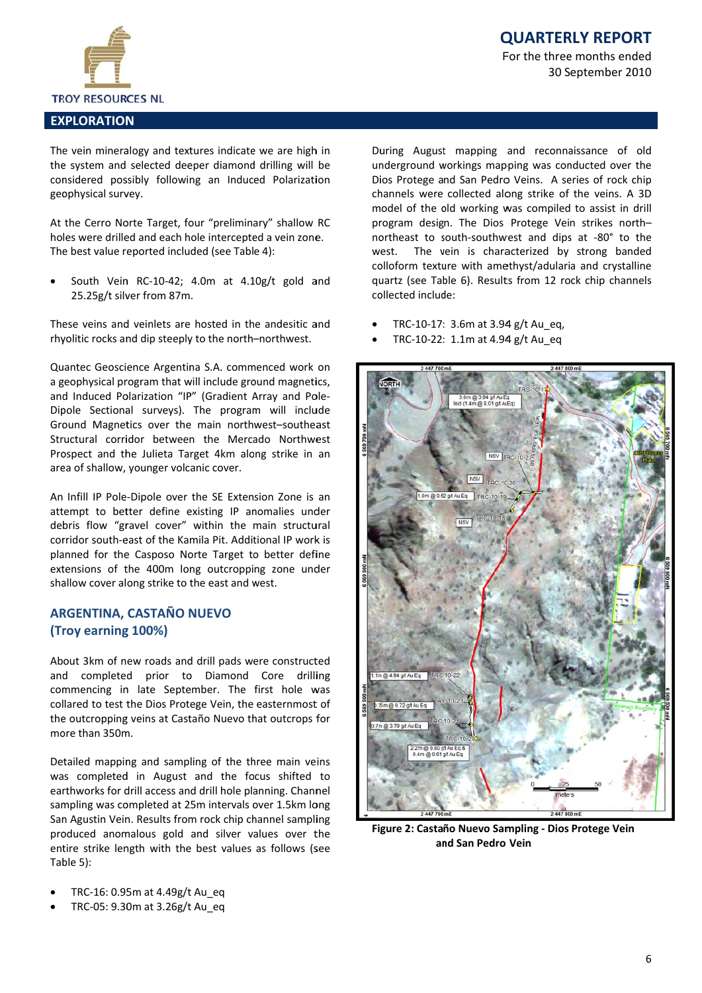

# **QUARTERLY REPORT**

For the three months ended 30 September 2010

#### **EXPLORATION**

The vein mineralogy and textures indicate we are high in the system and selected deeper diamond drilling will be considered possibly following an Induced Polarization geophysical survey.

At the Cerro Norte Target, four "preliminary" shallow RC holes were drilled and each hole intercepted a vein zone. The best value reported included (see Table 4):

South Vein RC-10-42; 4.0m at 4.10g/t gold and 25.25g/t silver from 87m.

These veins and veinlets are hosted in the andesitic and rhyolitic rocks and dip steeply to the north-northwest.

Quantec Geoscience Argentina S.A. commenced work on a geophysical program that will include ground magnetics, and Induced Polarization "IP" (Gradient Array and Pole-Dipole Sectional surveys). The program will include Ground Magnetics over the main northwest-southeast Structural corridor between the Mercado Northwest Prospect and the Julieta Target 4km along strike in an area of shallow, younger volcanic cover.

An Infill IP Pole-Dipole over the SE Extension Zone is an attempt to better define existing IP anomalies under debris flow "gravel cover" within the main structural corridor south-east of the Kamila Pit. Additional IP work is planned for the Casposo Norte Target to better define extensions of the 400m long outcropping zone under shallow cover along strike to the east and west.

# **ARGENTINA, CASTAÑO NUEVO** (Troy earning 100%)

About 3km of new roads and drill pads were constructed and completed prior to Diamond Core drilling commencing in late September. The first hole was collared to test the Dios Protege Vein, the easternmost of the outcropping veins at Castaño Nuevo that outcrops for more than  $350m$ 

Detailed mapping and sampling of the three main veins was completed in August and the focus shifted to earthworks for drill access and drill hole planning. Channel sampling was completed at 25m intervals over 1.5km long San Agustin Vein. Results from rock chip channel sampling produced anomalous gold and silver values over the entire strike length with the best values as follows (see Table 5):

- TRC-16: 0.95m at 4.49g/t Au eq
- TRC-05: 9.30m at 3.26g/t Au eq

During August mapping and reconnaissance of old underground workings mapping was conducted over the Dios Protege and San Pedro Veins. A series of rock chip channels were collected along strike of the veins. A 3D model of the old working was compiled to assist in drill program design. The Dios Protege Vein strikes northnortheast to south-southwest and dips at -80° to the west. The vein is characterized by strong banded colloform texture with amethyst/adularia and crystalline quartz (see Table 6). Results from 12 rock chip channels collected include:

- TRC-10-17: 3.6m at 3.94 g/t Au eq.
- TRC-10-22: 1.1m at 4.94 g/t Au\_eq



Figure 2: Castaño Nuevo Sampling - Dios Protege Vein and San Pedro Vein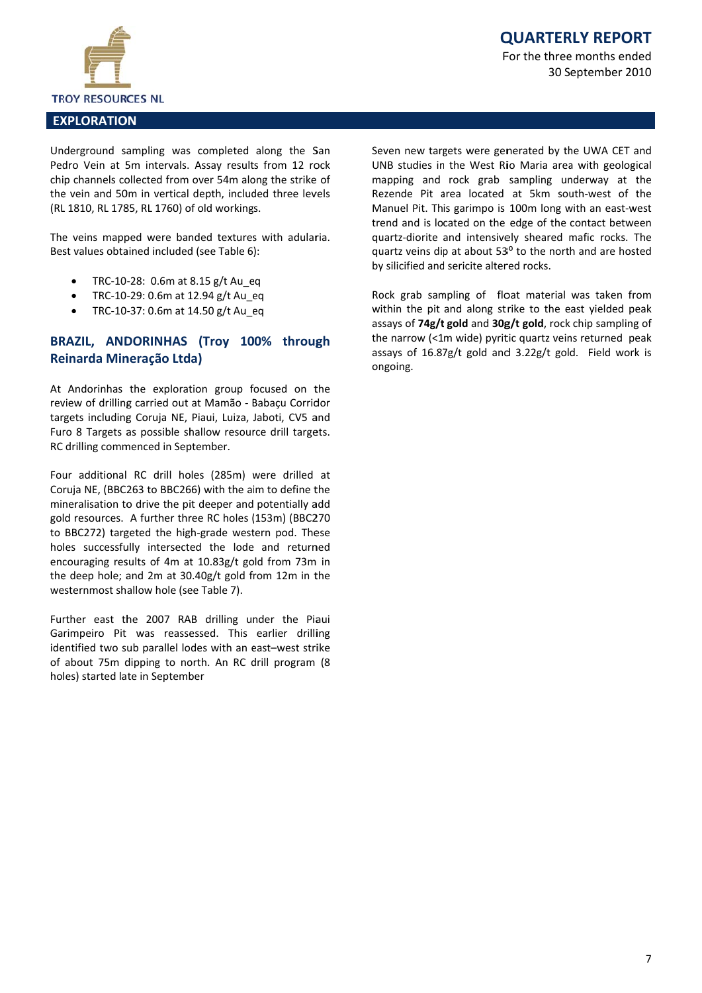

# **QUARTERLY REPORT**

For the three months ended 30 September 2010

#### **EXPLORATION**

Underground sampling was completed along the San Pedro Vein at 5m intervals. Assay results from 12 rock chip channels collected from over 54m along the strike of the vein and 50m in vertical depth, included three levels (RL 1810, RL 1785, RL 1760) of old workings.

The veins mapped were banded textures with adularia. Best values obtained included (see Table 6):

- TRC-10-28: 0.6m at 8.15 g/t Au eq
- TRC-10-29: 0.6m at 12.94 g/t Au eq
- TRC-10-37: 0.6m at 14.50 g/t Au eq

# BRAZIL, ANDORINHAS (Troy 100% through Reinarda Mineração Ltda)

At Andorinhas the exploration group focused on the review of drilling carried out at Mamão - Babaçu Corridor targets including Coruja NE, Piaui, Luiza, Jaboti, CV5 and Furo 8 Targets as possible shallow resource drill targets. RC drilling commenced in September.

Four additional RC drill holes (285m) were drilled at Coruja NE, (BBC263 to BBC266) with the aim to define the mineralisation to drive the pit deeper and potentially add gold resources. A further three RC holes (153m) (BBC270 to BBC272) targeted the high-grade western pod. These holes successfully intersected the lode and returned encouraging results of 4m at 10.83g/t gold from 73m in the deep hole; and 2m at 30.40g/t gold from 12m in the westernmost shallow hole (see Table 7).

Further east the 2007 RAB drilling under the Piaui Garimpeiro Pit was reassessed. This earlier drilling identified two sub parallel lodes with an east-west strike of about 75m dipping to north. An RC drill program (8 holes) started late in September

Seven new targets were generated by the UWA CET and UNB studies in the West Rio Maria area with geological mapping and rock grab sampling underway at the Rezende Pit area located at 5km south-west of the Manuel Pit. This garimpo is 100m long with an east-west trend and is located on the edge of the contact between quartz-diorite and intensively sheared mafic rocks. The quartz veins dip at about 53° to the north and are hosted by silicified and sericite altered rocks.

Rock grab sampling of float material was taken from within the pit and along strike to the east yielded peak assays of 74g/t gold and 30g/t gold, rock chip sampling of the narrow (<1m wide) pyritic quartz veins returned peak assays of 16.87g/t gold and 3.22g/t gold. Field work is ongoing.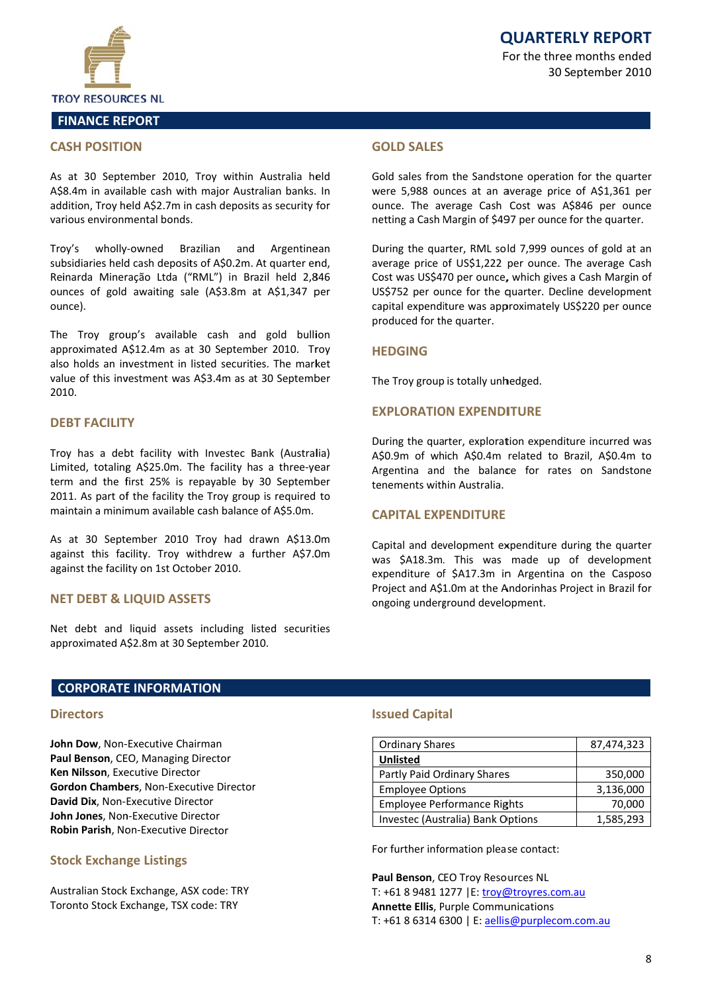



# **FINANCE REPORT**

#### **CASH POSITION**

As at 30 September 2010, Troy within Australia held A\$8.4m in available cash with major Australian banks. In addition, Troy held A\$2.7m in cash deposits as security for various environmental bonds.

wholly-owned Brazilian and Troy's Argentinean subsidiaries held cash deposits of A\$0.2m. At quarter end, Reinarda Mineração Ltda ("RML") in Brazil held 2,846 ounces of gold awaiting sale (A\$3.8m at A\$1,347 per ounce).

The Troy group's available cash and gold bullion approximated A\$12.4m as at 30 September 2010. Troy also holds an investment in listed securities. The market value of this investment was A\$3.4m as at 30 September 2010.

#### **DEBT FACILITY**

Troy has a debt facility with Investec Bank (Australia) Limited, totaling A\$25.0m. The facility has a three-year term and the first 25% is repayable by 30 September 2011. As part of the facility the Troy group is required to maintain a minimum available cash balance of A\$5.0m.

As at 30 September 2010 Troy had drawn A\$13.0m against this facility. Troy withdrew a further A\$7.0m against the facility on 1st October 2010.

#### **NET DEBT & LIQUID ASSETS**

Net debt and liquid assets including listed securities approximated A\$2.8m at 30 September 2010.

# **GOLD SALFS**

Gold sales from the Sandstone operation for the quarter were 5,988 ounces at an average price of A\$1,361 per ounce. The average Cash Cost was A\$846 per ounce netting a Cash Margin of \$497 per ounce for the quarter.

During the quarter, RML sold 7,999 ounces of gold at an average price of US\$1,222 per ounce. The average Cash Cost was US\$470 per ounce, which gives a Cash Margin of US\$752 per ounce for the quarter. Decline development capital expenditure was approximately US\$220 per ounce produced for the quarter.

#### **HEDGING**

The Troy group is totally unhedged.

#### **EXPLORATION EXPENDITURE**

During the quarter, exploration expenditure incurred was A\$0.9m of which A\$0.4m related to Brazil, A\$0.4m to Argentina and the balance for rates on Sandstone tenements within Australia.

#### **CAPITAL EXPENDITURE**

Capital and development expenditure during the quarter was \$A18.3m. This was made up of development expenditure of \$A17.3m in Argentina on the Casposo Project and A\$1.0m at the Andorinhas Project in Brazil for ongoing underground development.

#### **CORPORATE INFORMATION**

#### **Directors**

John Dow, Non-Executive Chairman Paul Benson, CEO, Managing Director Ken Nilsson, Executive Director Gordon Chambers, Non-Executive Director David Dix. Non-Executive Director John Jones, Non-Executive Director Robin Parish, Non-Executive Director

# **Stock Exchange Listings**

Australian Stock Exchange, ASX code: TRY Toronto Stock Exchange, TSX code: TRY

#### **Issued Capital**

| <b>Ordinary Shares</b>            | 87,474,323 |  |  |
|-----------------------------------|------------|--|--|
| <b>Unlisted</b>                   |            |  |  |
| Partly Paid Ordinary Shares       | 350,000    |  |  |
| <b>Employee Options</b>           | 3,136,000  |  |  |
| Employee Performance Rights       | 70,000     |  |  |
| Investec (Australia) Bank Options | 1,585,293  |  |  |

For further information please contact:

Paul Benson, CEO Troy Resources NL T: +61 8 9481 1277 | E: troy@troyres.com.au **Annette Ellis, Purple Communications** T: +61 8 6314 6300 | E: aellis@purplecom.com.au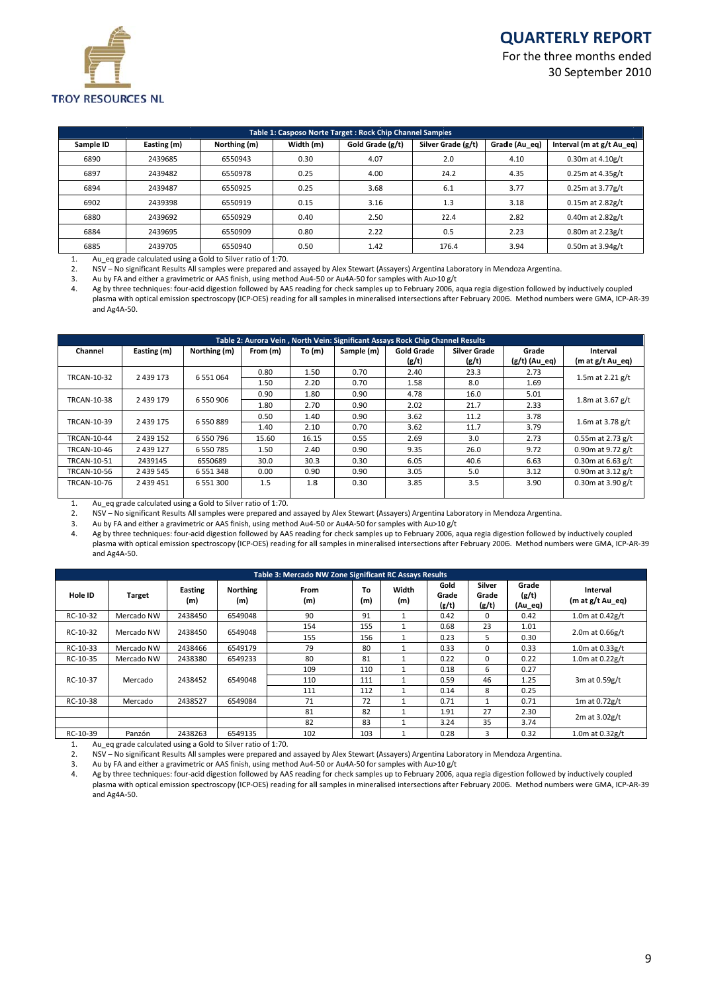# **Q QUARTER RLY REPO RT**

For the three months ended 30 S eptember 20 010



|           | Table 1: Casposo Norte Target: Rock Chip Channel Samples |              |           |                  |                    |                |                           |  |  |  |  |  |
|-----------|----------------------------------------------------------|--------------|-----------|------------------|--------------------|----------------|---------------------------|--|--|--|--|--|
| Sample ID | Easting (m)                                              | Northing (m) | Width (m) | Gold Grade (g/t) | Silver Grade (g/t) | Gradle (Au eq) | Interval (m at g/t Au eq) |  |  |  |  |  |
| 6890      | 2439685                                                  | 6550943      | 0.30      | 4.07             | 2.0                | 4.10           | $0.30m$ at $4.10g/t$      |  |  |  |  |  |
| 6897      | 2439482                                                  | 6550978      | 0.25      | 4.00             | 24.2               | 4.35           | $0.25m$ at 4.35g/t        |  |  |  |  |  |
| 6894      | 2439487                                                  | 6550925      | 0.25      | 3.68             | 6.1                | 3.77           | $0.25m$ at 3.77g/t        |  |  |  |  |  |
| 6902      | 2439398                                                  | 6550919      | 0.15      | 3.16             | 1.3                | 3.18           | $0.15m$ at $2.82g/t$      |  |  |  |  |  |
| 6880      | 2439692                                                  | 6550929      | 0.40      | 2.50             | 22.4               | 2.82           | $0.40m$ at 2.82g/t        |  |  |  |  |  |
| 6884      | 2439695                                                  | 6550909      | 0.80      | 2.22             | 0.5                | 2.23           | $0.80m$ at 2.23g/t        |  |  |  |  |  |
| 6885      | 2439705                                                  | 6550940      | 0.50      | 1.42             | 176.4              | 3.94           | $0.50m$ at 3.94g/t        |  |  |  |  |  |

1. Au\_eq gra de calculated using g a Gold to Silver rat tio of 1:70.

2. NSV – No significant Results All samples were prepared and assayed by Alex Stewart (Assayers) Argentina Laboratory in Mendoza Argentina.

3. Au by FA and either a gravimetric or AAS finish, using method Au4-50 or Au4A-50 for samples with Au>10 g/t

4. Ag by three techniques: four-acid digestion followed by AAS reading for check samples up to February 2006, aqua regia digestion followed by inductively coupled plasma with optical emission spectroscopy (ICP-OES) reading for all samples in mineralised intersections after February 2006. Method numbers were GMA, ICP-AR-39 and Ag4A‐ 50.

| Table 2: Aurora Vein, North Vein: Significant Assays Rock Chip Channel Results |               |               |          |        |            |                   |              |                 |                      |  |  |  |
|--------------------------------------------------------------------------------|---------------|---------------|----------|--------|------------|-------------------|--------------|-----------------|----------------------|--|--|--|
| Channel                                                                        | Easting (m)   | Northing (m)  | From (m) | To (m) | Sample (m) | <b>Gold Grade</b> | Silver Grade | Grade           | Interval             |  |  |  |
|                                                                                |               |               |          |        |            | (g/t)             | (g/t)        | $(g/t)$ (Au eq) | (m at g/t Au eq)     |  |  |  |
| <b>TRCAN-10-32</b>                                                             | 2 4 3 9 1 7 3 | 6 5 5 1 0 6 4 | 0.80     | 1.50   | 0.70       | 2.40              | 23.3         | 2.73            | 1.5m at 2.21 $g/t$   |  |  |  |
|                                                                                |               | 1.50          | 2.20     | 0.70   | 1.58       | 8.0               | 1.69         |                 |                      |  |  |  |
|                                                                                | 2 4 3 9 1 7 9 |               | 0.90     | 1.80   | 0.90       | 4.78              | 16.0         | 5.01            |                      |  |  |  |
| <b>TRCAN-10-38</b>                                                             |               | 6 550 906     | 1.80     | 2.70   | 0.90       | 2.02              | 21.7         | 2.33            | 1.8m at $3.67$ g/t   |  |  |  |
|                                                                                |               | 6 5 5 0 8 8 9 | 0.50     | 1.40   | 0.90       | 3.62              | 11.2         | 3.78            |                      |  |  |  |
| <b>TRCAN-10-39</b>                                                             | 2 4 3 9 1 7 5 |               | 1.40     | 2.10   | 0.70       | 3.62              | 11.7         | 3.79            | 1.6m at $3.78$ g/t   |  |  |  |
| <b>TRCAN-10-44</b>                                                             | 2 4 3 9 1 5 2 | 6 550 796     | 15.60    | 16.15  | 0.55       | 2.69              | 3.0          | 2.73            | $0.55m$ at 2.73 g/t  |  |  |  |
| <b>TRCAN-10-46</b>                                                             | 2 4 3 9 1 2 7 | 6 550 785     | 1.50     | 2.40   | 0.90       | 9.35              | 26.0         | 9.72            | 0.90m at $9.72$ g/t  |  |  |  |
| <b>TRCAN-10-51</b>                                                             | 2439145       | 6550689       | 30.0     | 30.3   | 0.30       | 6.05              | 40.6         | 6.63            | 0.30m at $6.63$ g/t  |  |  |  |
| <b>TRCAN-10-56</b>                                                             | 2 4 3 5 5 4 5 | 6 5 5 1 3 4 8 | 0.00     | 0.90   | 0.90       | 3.05              | 5.0          | 3.12            | 0.90 $m$ at 3.12 g/t |  |  |  |
| <b>TRCAN-10-76</b>                                                             | 2 439 451     | 6 5 5 1 3 0 0 | 1.5      | 1.8    | 0.30       | 3.85              | 3.5          | 3.90            | 0.30 $m$ at 3.90 g/t |  |  |  |
|                                                                                |               |               |          |        |            |                   |              |                 |                      |  |  |  |

1. Au\_eq gra de calculated using g a Gold to Silver rat tio of 1:70.

2. NSV - No significant Results All samples were prepared and assayed by Alex Stewart (Assayers) Argentina Laboratory in Mendoza Argentina.

3. Au by FA and either a gravimetric or AAS finish, using method Au4-50 or Au4A-50 for samples with Au>10 g/t

4. Ag by three techniques: four-acid digestion followed by AAS reading for check samples up to February 2006, aqua regia digestion followed by inductively coupled plasma with optical emission spectroscopy (ICP‐OES) reading for all samples in mineralised intersections after February 2006. Method numbers were GMA, ICP‐AR‐39 and Ag4A‐ 50.

| Table 3: Mercado NW Zone Significant RC Assays Results |                                   |                       |                        |             |           |              |                        |                          |                           |                                |  |
|--------------------------------------------------------|-----------------------------------|-----------------------|------------------------|-------------|-----------|--------------|------------------------|--------------------------|---------------------------|--------------------------------|--|
| Hole ID                                                | <b>Target</b>                     | <b>Easting</b><br>(m) | <b>Northing</b><br>(m) | From<br>(m) | To<br>(m) | Width<br>(m) | Gold<br>Grade<br>(g/t) | Silver<br>Grade<br>(g/t) | Grade<br>(g/t)<br>(Au_eq) | Interval<br>$(m at g/t Au_eq)$ |  |
| RC-10-32                                               | Mercado NW                        | 2438450               | 6549048                | 90          | 91        |              | 0.42                   | 0                        | 0.42                      | 1.0 $m$ at 0.42g/t             |  |
|                                                        | RC-10-32<br>2438450<br>Mercado NW |                       | 6549048                | 154         | 155       |              | 0.68                   | 23                       | 1.01                      |                                |  |
|                                                        |                                   |                       |                        | 155         | 156       |              | 0.23                   | 5                        | 0.30                      | 2.0 $m$ at 0.66g/t             |  |
| RC-10-33                                               | Mercado NW                        | 2438466               | 6549179                | 79          | 80        |              | 0.33                   | 0                        | 0.33                      | $1.0m$ at $0.33g/t$            |  |
| RC-10-35                                               | Mercado NW                        | 2438380               | 6549233                | 80          | 81        |              | 0.22                   | 0                        | 0.22                      | $1.0m$ at $0.22g/t$            |  |
|                                                        |                                   | 2438452               |                        | 109         | 110       |              | 0.18                   | 6                        | 0.27                      |                                |  |
| RC-10-37                                               | Mercado                           |                       | 6549048                | 110         | 111       |              | 0.59                   | 46                       | 1.25                      | 3m at 0.59g/t                  |  |
|                                                        |                                   |                       |                        | 111         | 112       |              | 0.14                   | 8                        | 0.25                      |                                |  |
| RC-10-38                                               | Mercado                           | 2438527               | 6549084                | 71          | 72        |              | 0.71                   |                          | 0.71                      | 1 $m$ at 0.72g/t               |  |
|                                                        |                                   |                       |                        | 81          | 82        |              | 1.91                   | 27                       | 2.30                      |                                |  |
|                                                        |                                   |                       |                        | 82          | 83        |              | 3.24                   | 35                       | 3.74                      | $2m$ at $3.02g/t$              |  |
| RC-10-39                                               | Panzón                            | 2438263               | 6549135                | 102         | 103       |              | 0.28                   | 3                        | 0.32                      | 1.0 $m$ at 0.32g/t             |  |

1. Au\_eq gra de calculated using g a Gold to Silver rat tio of 1:70.

2. NSV - No significant Results All samples were prepared and assayed by Alex Stewart (Assayers) Argentina Laboratory in Mendoza Argentina.

3. Au by FA and either a gravimetric or AAS finish, using method Au4-50 or Au4A-50 for samples with Au>10 g/t

4. Ag by three techniques: four-acid digestion followed by AAS reading for check samples up to February 2006, aqua regia digestion followed by inductively coupled plasma with optical emission spectroscopy (ICP-OES) reading for all samples in mineralised intersections after February 2006. Method numbers were GMA, ICP-AR-39 and Ag4A‐ 50.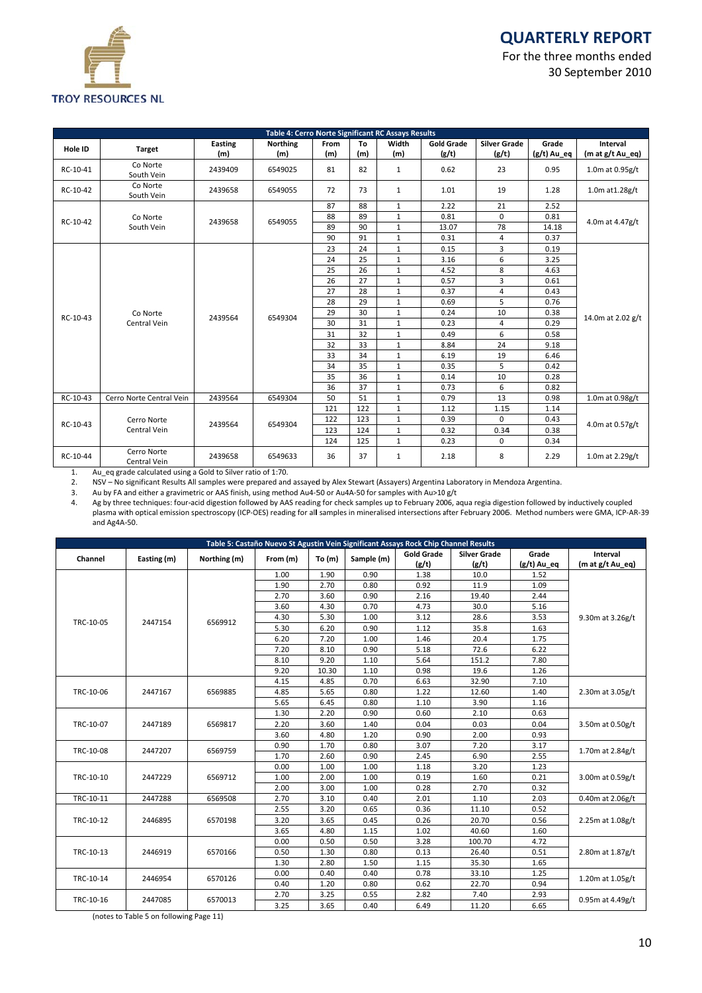

# **Q QUARTER RLY REPO RT**

For the three months ended 30 S eptember 20 010

|                      |                             |                | Table 4: Cerro Norte Significant RC Assays Results |             |              |              |                            |                        |                      |                              |
|----------------------|-----------------------------|----------------|----------------------------------------------------|-------------|--------------|--------------|----------------------------|------------------------|----------------------|------------------------------|
| <b>Hole ID</b>       | <b>Target</b>               | Easting<br>(m) | <b>Northing</b><br>(m)                             | From<br>(m) | To<br>(m)    | Width<br>(m) | <b>Gold Grade</b><br>(g/t) | Silver Girade<br>(g/t) | Grade<br>(g/t) Au_eq | Interval<br>(m at g/t Au_eq) |
| RC-10-41             | Co Norte<br>South Vein      | 2439409        | 6549025                                            | 81          | 82           | $\mathbf{1}$ | 0.62                       | 23                     | 0.95                 | 1.0m at 0.95g/t              |
| RC-10-42             | Co Norte<br>South Vein      | 2439658        | 6549055                                            | 72          | 73           | $\mathbf{1}$ | 1.01                       | 19                     | 1.28                 | 1.0m at 1.28g/t              |
|                      |                             |                |                                                    | 87          | 88           | $\mathbf{1}$ | 2.22                       | 21                     | 2.52                 |                              |
| Co Norte<br>RC-10-42 | 2439658                     | 6549055        | 88                                                 | 89          | $\mathbf{1}$ | 0.81         | 0                          | 0.81                   | 4.0m at 4.47g/t      |                              |
|                      | South Vein                  |                |                                                    | 89          | 90           | $\mathbf{1}$ | 13.07                      | 78                     | 14.18                |                              |
|                      |                             |                |                                                    | 90          | 91           | $\mathbf{1}$ | 0.31                       | 4                      | 0.37                 |                              |
|                      |                             |                |                                                    | 23          | 24           | $\mathbf{1}$ | 0.15                       | 3                      | 0.19                 |                              |
|                      |                             |                |                                                    | 24          | 25           | $\mathbf{1}$ | 3.16                       | 6                      | 3.25                 |                              |
|                      |                             | 2439564        | 6549304                                            | 25          | 26           | $\mathbf{1}$ | 4.52                       | 8                      | 4.63                 |                              |
|                      |                             |                |                                                    | 26          | 27           | $\mathbf 1$  | 0.57                       | 3                      | 0.61                 | 14.0m at 2.02 g/t            |
|                      |                             |                |                                                    | 27          | 28           | $\mathbf{1}$ | 0.37                       | 4                      | 0.43                 |                              |
|                      |                             |                |                                                    | 28          | 29           | $\mathbf{1}$ | 0.69                       | 5                      | 0.76                 |                              |
|                      | Co Norte                    |                |                                                    | 29          | 30           | $\mathbf{1}$ | 0.24                       | 10                     | 0.38                 |                              |
| RC-10-43             | Central Vein                |                |                                                    | 30          | 31           | $\mathbf{1}$ | 0.23                       | 4                      | 0.29                 |                              |
|                      |                             |                |                                                    | 31          | 32           | $\mathbf{1}$ | 0.49                       | 6                      | 0.58                 |                              |
|                      |                             |                |                                                    | 32          | 33           | $\mathbf 1$  | 8.84                       | 24                     | 9.18                 |                              |
|                      |                             |                |                                                    | 33          | 34           | $\mathbf{1}$ | 6.19                       | 19                     | 6.46                 |                              |
|                      |                             |                |                                                    | 34          | 35           | $\mathbf{1}$ | 0.35                       | 5                      | 0.42                 |                              |
|                      |                             |                |                                                    | 35          | 36           | $\mathbf{1}$ | 0.14                       | 10                     | 0.28                 |                              |
|                      |                             |                |                                                    | 36          | 37           | $\mathbf{1}$ | 0.73                       | 6                      | 0.82                 |                              |
| RC-10-43             | Cerro Norte Central Vein    | 2439564        | 6549304                                            | 50          | 51           | $\mathbf{1}$ | 0.79                       | 13                     | 0.98                 | 1.0m at 0.98g/t              |
|                      |                             |                |                                                    | 121         | 122          | $\mathbf{1}$ | 1.12                       | 1.15                   | 1.14                 |                              |
|                      | Cerro Norte                 |                |                                                    | 122         | 123          | $\mathbf{1}$ | 0.39                       | 0                      | 0.43                 |                              |
| RC-10-43             | Central Vein                | 2439564        | 6549304                                            | 123         | 124          | $\mathbf{1}$ | 0.32                       | 0.34                   | 0.38                 | 4.0m at 0.57g/t              |
|                      |                             |                |                                                    | 124         | 125          | $\mathbf{1}$ | 0.23                       | 0                      | 0.34                 |                              |
| RC-10-44             | Cerro Norte<br>Central Vein | 2439658        | 6549633                                            | 36          | 37           | $\mathbf{1}$ | 2.18                       | 8                      | 2.29                 | 1.0m at 2.29g/t              |

1. Au\_eq gra de calculated using g a Gold to Silver rat tio of 1:70.

2. NSV – No significant Results All samples were prepared and assayed by Alex Stewart (Assayers) Argentina Laboratory in Mendoza Argentina.

3. Au by FA and either a gravimetric or AAS finish, using method Au4-50 or Au4A-50 for samples with Au>10 g/t

4. Ag by three techniques: four-acid digestion followed by AAS reading for check samples up to February 2006, aqua regia digestion followed by inductively coupled plasma with optical emission spectroscopy (ICP-OES) reading for all samples in mineralised intersections after February 2006. Method numbers were GMA, ICP-AR-39 and Ag4A‐ 50.

|                      |             |              |          |          |            | Table 5: Castaño Nuevo St Agustin Vein Significant Assays Rock Chip Channel Results |                     |               |                     |  |  |
|----------------------|-------------|--------------|----------|----------|------------|-------------------------------------------------------------------------------------|---------------------|---------------|---------------------|--|--|
| Channel              | Easting (m) | Northing (m) | From (m) | To $(m)$ | Sample (m) | <b>Gold Grade</b>                                                                   | <b>Silver Grade</b> | Grade         | Interval            |  |  |
|                      |             |              |          |          |            | (g/t)                                                                               | (g/t)               | $(g/t)$ Au_eq | (m at g/t Au_eq)    |  |  |
|                      |             |              | 1.00     | 1.90     | 0.90       | 1.38                                                                                | 10.0                | 1.52          |                     |  |  |
|                      |             |              | 1.90     | 2.70     | 0.80       | 0.92                                                                                | 11.9                | 1.09          |                     |  |  |
|                      |             |              | 2.70     | 3.60     | 0.90       | 2.16                                                                                | 19.40               | 2.44          |                     |  |  |
|                      |             |              | 3.60     | 4.30     | 0.70       | 4.73                                                                                | 30.0                | 5.16          |                     |  |  |
|                      |             |              | 4.30     | 5.30     | 1.00       | 3.12                                                                                | 28.6                | 3.53          | 9.30m at 3.26g/t    |  |  |
| TRC-10-05            | 2447154     | 6569912      | 5.30     | 6.20     | 0.90       | 1.12                                                                                | 35.8                | 1.63          |                     |  |  |
|                      |             |              | 6.20     | 7.20     | 1.00       | 1.46                                                                                | 20.4                | 1.75          |                     |  |  |
|                      |             |              | 7.20     | 8.10     | 0.90       | 5.18                                                                                | 72.6                | 6.22          |                     |  |  |
|                      |             |              | 8.10     | 9.20     | 1.10       | 5.64                                                                                | 151.2               | 7.80          |                     |  |  |
|                      |             |              | 9.20     | 10.30    | 1.10       | 0.98                                                                                | 19.6                | 1.26          |                     |  |  |
|                      |             |              | 4.15     | 4.85     | 0.70       | 6.63                                                                                | 32.90               | 7.10          | 2.30m at 3.05g/t    |  |  |
| TRC-10-06<br>2447167 |             | 6569885      | 4.85     | 5.65     | 0.80       | 1.22                                                                                | 12.60               | 1.40          |                     |  |  |
|                      |             | 5.65         | 6.45     | 0.80     | 1.10       | 3.90                                                                                | 1.16                |               |                     |  |  |
|                      |             | 6569817      | 1.30     | 2.20     | 0.90       | 0.60                                                                                | 2.10                | 0.63          | 3.50m at 0.50g/t    |  |  |
| TRC-10-07            | 2447189     |              | 2.20     | 3.60     | 1.40       | 0.04                                                                                | 0.03                | 0.04          |                     |  |  |
|                      |             |              | 3.60     | 4.80     | 1.20       | 0.90                                                                                | 2.00                | 0.93          |                     |  |  |
|                      |             |              | 0.90     | 1.70     | 0.80       | 3.07                                                                                | 7.20                | 3.17          |                     |  |  |
| TRC-10-08            | 2447207     | 6569759      | 1.70     | 2.60     | 0.90       | 2.45                                                                                | 6.90                | 2.55          | 1.70m at 2.84g/t    |  |  |
|                      |             |              | 0.00     | 1.00     | 1.00       | 1.18                                                                                | 3.20                | 1.23          | 3.00m at 0.59g/t    |  |  |
| TRC-10-10            | 2447229     | 6569712      | 1.00     | 2.00     | 1.00       | 0.19                                                                                | 1.60                | 0.21          |                     |  |  |
|                      |             |              | 2.00     | 3.00     | 1.00       | 0.28                                                                                | 2.70                | 0.32          |                     |  |  |
| TRC-10-11            | 2447288     | 6569508      | 2.70     | 3.10     | 0.40       | 2.01                                                                                | 1.10                | 2.03          | 0.40m at 2.06g/t    |  |  |
|                      |             |              | 2.55     | 3.20     | 0.65       | 0.36                                                                                | 11.10               | 0.52          |                     |  |  |
| TRC-10-12            | 2446895     | 6570198      | 3.20     | 3.65     | 0.45       | 0.26                                                                                | 20.70               | 0.56          | 2.25m at 1.08g/t    |  |  |
|                      |             |              | 3.65     | 4.80     | 1.15       | 1.02                                                                                | 40.60               | 1.60          |                     |  |  |
|                      |             |              | 0.00     | 0.50     | 0.50       | 3.28                                                                                | 100.70              | 4.72          |                     |  |  |
| TRC-10-13            | 2446919     | 6570166      | 0.50     | 1.30     | 0.80       | 0.13                                                                                | 26.40               | 0.51          | 2.80m at 1.87g/t    |  |  |
|                      |             |              | 1.30     | 2.80     | 1.50       | 1.15                                                                                | 35.30               | 1.65          |                     |  |  |
|                      |             |              | 0.00     | 0.40     | 0.40       | 0.78                                                                                | 33.10               | 1.25          |                     |  |  |
| TRC-10-14            | 2446954     | 6570126      | 0.40     | 1.20     | 0.80       | 0.62                                                                                | 22.70               | 0.94          | 1.20 $m$ at 1.05g/t |  |  |
|                      |             |              | 2.70     | 3.25     | 0.55       | 2.82                                                                                | 7.40                | 2.93          |                     |  |  |
| TRC-10-16            | 2447085     | 6570013      | 3.25     | 3.65     | 0.40       | 6.49                                                                                | 11.20               | 6.65          | 0.95m at 4.49g/t    |  |  |

(notes to Table 5 on following Page 11)